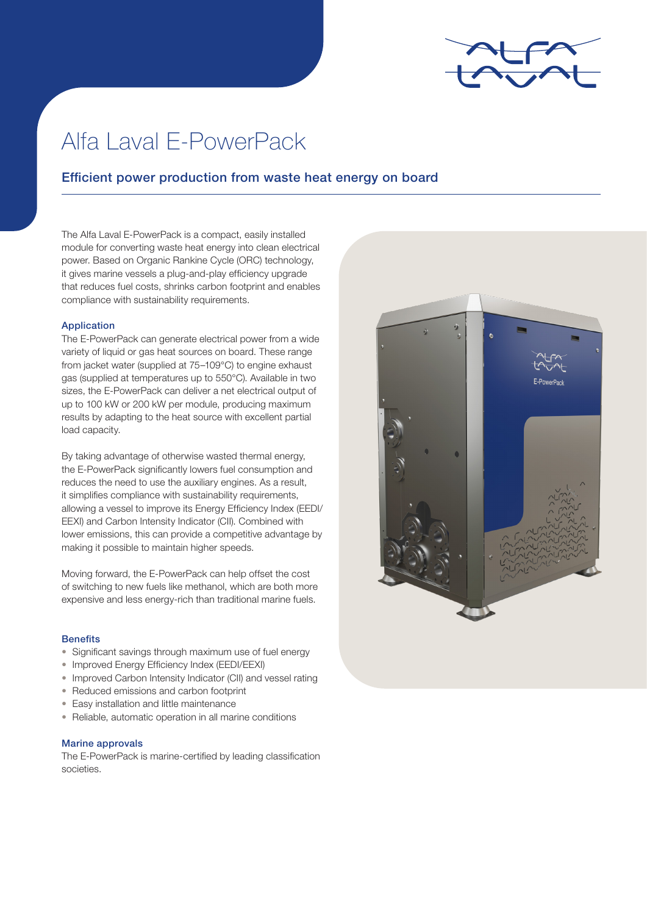

# Alfa Laval E-PowerPack

## Efficient power production from waste heat energy on board

The Alfa Laval E-PowerPack is a compact, easily installed module for converting waste heat energy into clean electrical power. Based on Organic Rankine Cycle (ORC) technology, it gives marine vessels a plug-and-play efficiency upgrade that reduces fuel costs, shrinks carbon footprint and enables compliance with sustainability requirements.

#### Application

The E-PowerPack can generate electrical power from a wide variety of liquid or gas heat sources on board. These range from jacket water (supplied at 75–109°C) to engine exhaust gas (supplied at temperatures up to 550°C). Available in two sizes, the E-PowerPack can deliver a net electrical output of up to 100 kW or 200 kW per module, producing maximum results by adapting to the heat source with excellent partial load capacity.

By taking advantage of otherwise wasted thermal energy, the E-PowerPack significantly lowers fuel consumption and reduces the need to use the auxiliary engines. As a result, it simplifies compliance with sustainability requirements, allowing a vessel to improve its Energy Efficiency Index (EEDI/ EEXI) and Carbon Intensity Indicator (CII). Combined with lower emissions, this can provide a competitive advantage by making it possible to maintain higher speeds.

Moving forward, the E-PowerPack can help offset the cost of switching to new fuels like methanol, which are both more expensive and less energy-rich than traditional marine fuels.

#### **Benefits**

- Significant savings through maximum use of fuel energy
- Improved Energy Efficiency Index (EEDI/EEXI)
- Improved Carbon Intensity Indicator (CII) and vessel rating
- Reduced emissions and carbon footprint
- Easy installation and little maintenance
- Reliable, automatic operation in all marine conditions

#### Marine approvals

The E-PowerPack is marine-certified by leading classification societies.